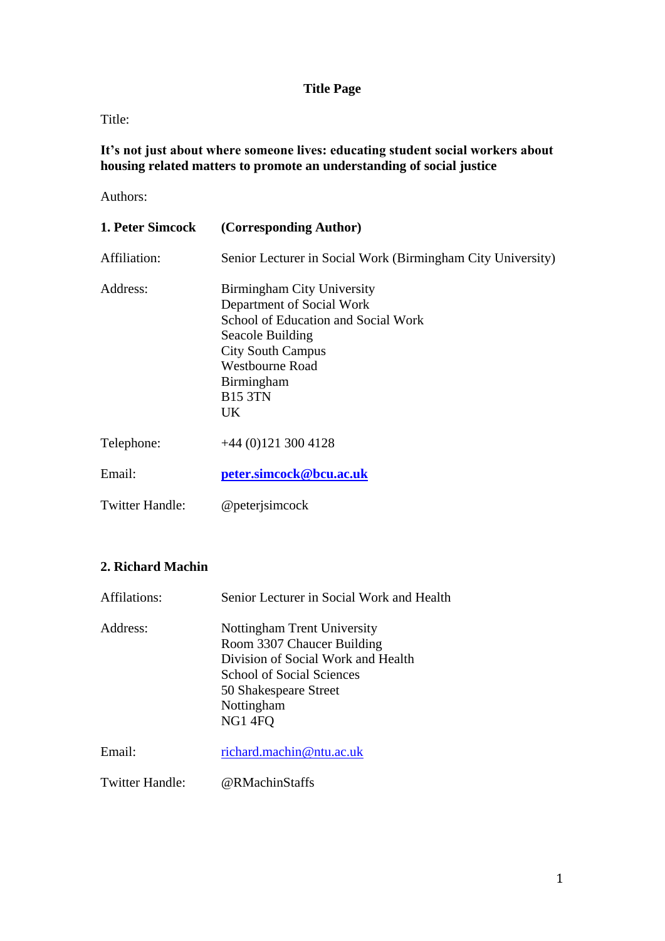# **Title Page**

Title:

**It's not just about where someone lives: educating student social workers about housing related matters to promote an understanding of social justice**

Authors:

| 1. Peter Simcock       | (Corresponding Author)                                                                                                                                                                                         |
|------------------------|----------------------------------------------------------------------------------------------------------------------------------------------------------------------------------------------------------------|
| Affiliation:           | Senior Lecturer in Social Work (Birmingham City University)                                                                                                                                                    |
| Address:               | Birmingham City University<br>Department of Social Work<br>School of Education and Social Work<br>Seacole Building<br><b>City South Campus</b><br><b>Westbourne Road</b><br>Birmingham<br><b>B15 3TN</b><br>UK |
| Telephone:             | $+44(0)1213004128$                                                                                                                                                                                             |
| Email:                 | peter.simcock@bcu.ac.uk                                                                                                                                                                                        |
| <b>Twitter Handle:</b> | @peterjsimcock                                                                                                                                                                                                 |

# **2. Richard Machin**

| Affilations:    | Senior Lecturer in Social Work and Health                                                                                                                                            |
|-----------------|--------------------------------------------------------------------------------------------------------------------------------------------------------------------------------------|
| Address:        | Nottingham Trent University<br>Room 3307 Chaucer Building<br>Division of Social Work and Health<br><b>School of Social Sciences</b><br>50 Shakespeare Street<br>Nottingham<br>NG14FQ |
| Email:          | richard.machin@ntu.ac.uk                                                                                                                                                             |
| Twitter Handle: | @RMachinStaffs                                                                                                                                                                       |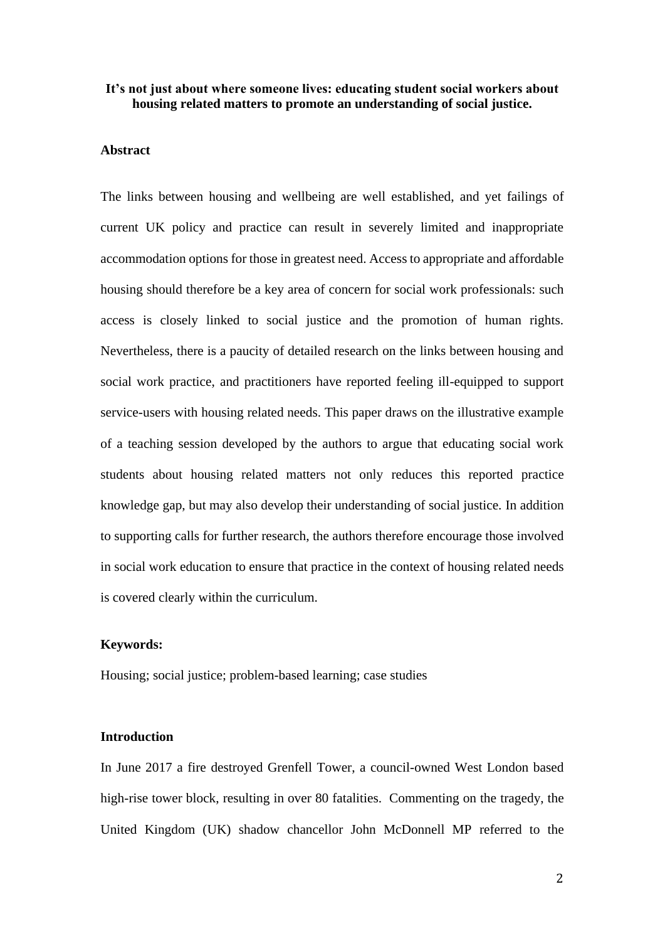### **It's not just about where someone lives: educating student social workers about housing related matters to promote an understanding of social justice.**

#### **Abstract**

The links between housing and wellbeing are well established, and yet failings of current UK policy and practice can result in severely limited and inappropriate accommodation options for those in greatest need. Access to appropriate and affordable housing should therefore be a key area of concern for social work professionals: such access is closely linked to social justice and the promotion of human rights. Nevertheless, there is a paucity of detailed research on the links between housing and social work practice, and practitioners have reported feeling ill-equipped to support service-users with housing related needs. This paper draws on the illustrative example of a teaching session developed by the authors to argue that educating social work students about housing related matters not only reduces this reported practice knowledge gap, but may also develop their understanding of social justice. In addition to supporting calls for further research, the authors therefore encourage those involved in social work education to ensure that practice in the context of housing related needs is covered clearly within the curriculum.

### **Keywords:**

Housing; social justice; problem-based learning; case studies

#### **Introduction**

In June 2017 a fire destroyed Grenfell Tower, a council-owned West London based high-rise tower block, resulting in over 80 fatalities. Commenting on the tragedy, the United Kingdom (UK) shadow chancellor John McDonnell MP referred to the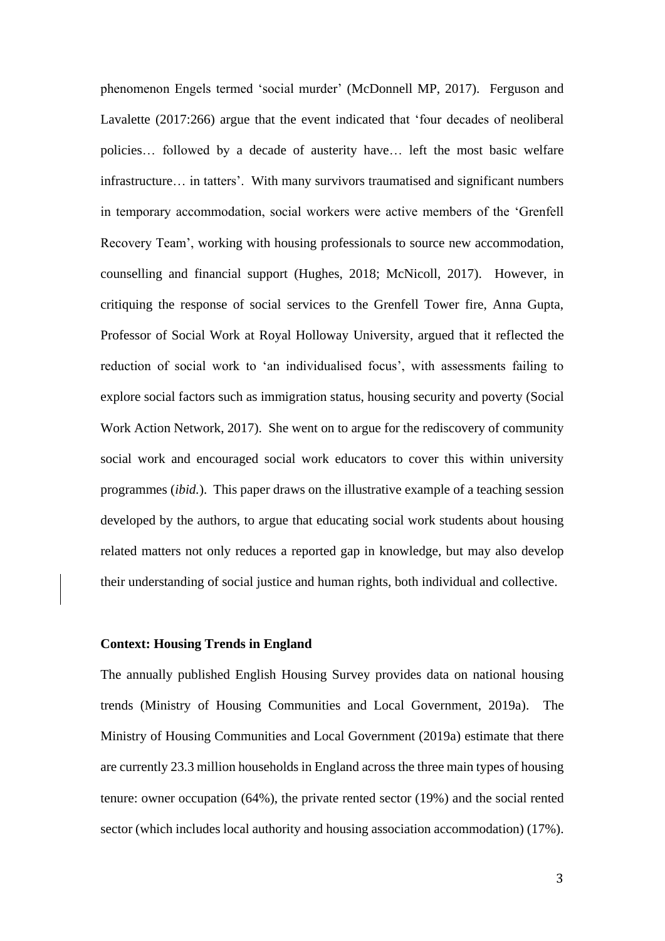phenomenon Engels termed 'social murder' [\(McDonnell MP, 2017\)](#page-21-0). [Ferguson and](#page-20-0)  [Lavalette \(2017:266\)](#page-20-0) argue that the event indicated that 'four decades of neoliberal policies… followed by a decade of austerity have… left the most basic welfare infrastructure… in tatters'. With many survivors traumatised and significant numbers in temporary accommodation, social workers were active members of the 'Grenfell Recovery Team', working with housing professionals to source new accommodation, counselling and financial support [\(Hughes, 2018;](#page-20-1) [McNicoll, 2017\)](#page-21-1). However, in critiquing the response of social services to the Grenfell Tower fire, Anna Gupta, Professor of Social Work at Royal Holloway University, argued that it reflected the reduction of social work to 'an individualised focus', with assessments failing to explore social factors such as immigration status, housing security and poverty [\(Social](#page-22-0)  [Work Action Network, 2017\)](#page-22-0). She went on to argue for the rediscovery of community social work and encouraged social work educators to cover this within university programmes (*ibid.*). This paper draws on the illustrative example of a teaching session developed by the authors, to argue that educating social work students about housing related matters not only reduces a reported gap in knowledge, but may also develop their understanding of social justice and human rights, both individual and collective.

# **Context: Housing Trends in England**

The annually published English Housing Survey provides data on national housing trends [\(Ministry of Housing Communities and Local Government, 2019a\)](#page-21-2). The [Ministry of Housing Communities and Local Government \(2019a\)](#page-21-2) estimate that there are currently 23.3 million households in England across the three main types of housing tenure: owner occupation (64%), the private rented sector (19%) and the social rented sector (which includes local authority and housing association accommodation) (17%).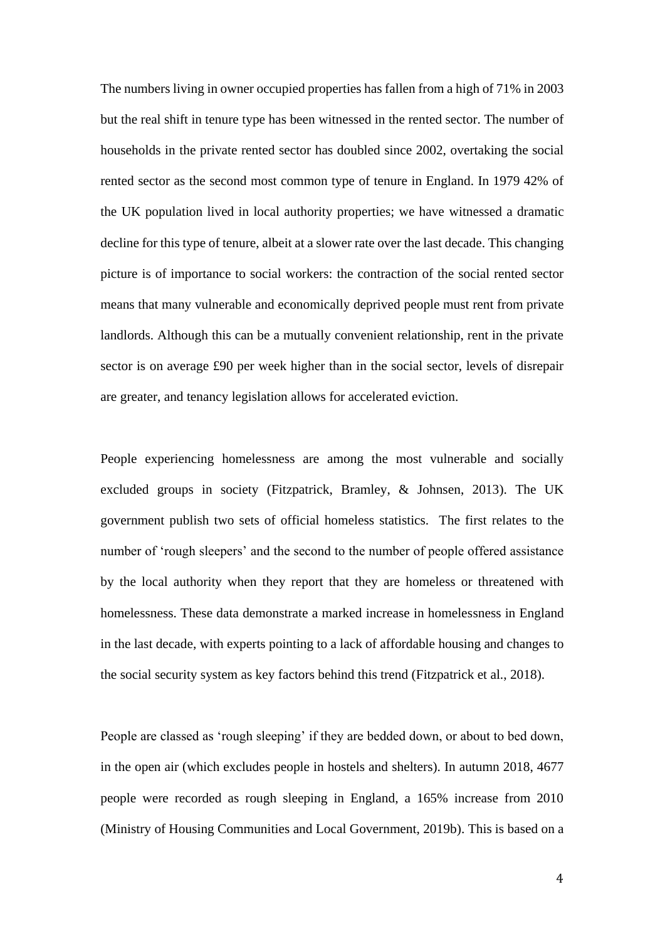The numbers living in owner occupied properties has fallen from a high of 71% in 2003 but the real shift in tenure type has been witnessed in the rented sector. The number of households in the private rented sector has doubled since 2002, overtaking the social rented sector as the second most common type of tenure in England. In 1979 42% of the UK population lived in local authority properties; we have witnessed a dramatic decline for this type of tenure, albeit at a slower rate over the last decade. This changing picture is of importance to social workers: the contraction of the social rented sector means that many vulnerable and economically deprived people must rent from private landlords. Although this can be a mutually convenient relationship, rent in the private sector is on average £90 per week higher than in the social sector, levels of disrepair are greater, and tenancy legislation allows for accelerated eviction.

People experiencing homelessness are among the most vulnerable and socially excluded groups in society [\(Fitzpatrick, Bramley, & Johnsen, 2013\)](#page-20-2). The UK government publish two sets of official homeless statistics. The first relates to the number of 'rough sleepers' and the second to the number of people offered assistance by the local authority when they report that they are homeless or threatened with homelessness. These data demonstrate a marked increase in homelessness in England in the last decade, with experts pointing to a lack of affordable housing and changes to the social security system as key factors behind this trend [\(Fitzpatrick et al., 2018\)](#page-20-3).

People are classed as 'rough sleeping' if they are bedded down, or about to bed down, in the open air (which excludes people in hostels and shelters). In autumn 2018, 4677 people were recorded as rough sleeping in England, a 165% increase from 2010 [\(Ministry of Housing Communities and Local Government, 2019b\)](#page-22-1). This is based on a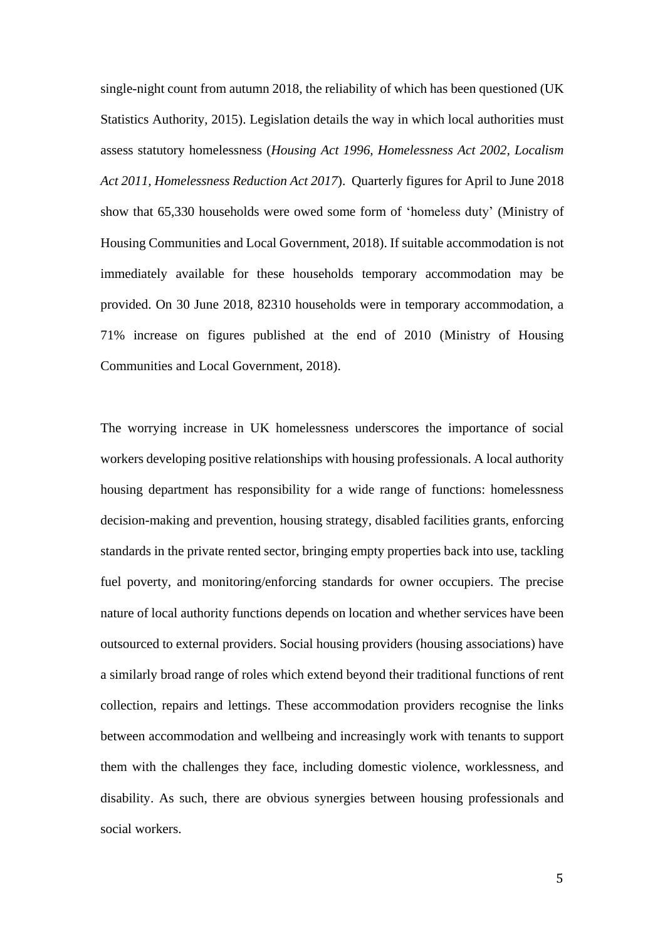single-night count from autumn 2018, the reliability of which has been questioned [\(UK](#page-23-0)  [Statistics Authority, 2015\)](#page-23-0). Legislation details the way in which local authorities must assess statutory homelessness (*Housing Act 1996, Homelessness Act 2002, Localism Act 2011, Homelessness Reduction Act 2017*). Quarterly figures for April to June 2018 show that 65,330 households were owed some form of 'homeless duty' [\(Ministry of](#page-21-3)  [Housing Communities and Local Government, 2018\)](#page-21-3). If suitable accommodation is not immediately available for these households temporary accommodation may be provided. On 30 June 2018, 82310 households were in temporary accommodation, a 71% increase on figures published at the end of 2010 [\(Ministry of Housing](#page-21-3)  [Communities and Local Government, 2018\)](#page-21-3).

The worrying increase in UK homelessness underscores the importance of social workers developing positive relationships with housing professionals. A local authority housing department has responsibility for a wide range of functions: homelessness decision-making and prevention, housing strategy, disabled facilities grants, enforcing standards in the private rented sector, bringing empty properties back into use, tackling fuel poverty, and monitoring/enforcing standards for owner occupiers. The precise nature of local authority functions depends on location and whether services have been outsourced to external providers. Social housing providers (housing associations) have a similarly broad range of roles which extend beyond their traditional functions of rent collection, repairs and lettings. These accommodation providers recognise the links between accommodation and wellbeing and increasingly work with tenants to support them with the challenges they face, including domestic violence, worklessness, and disability. As such, there are obvious synergies between housing professionals and social workers.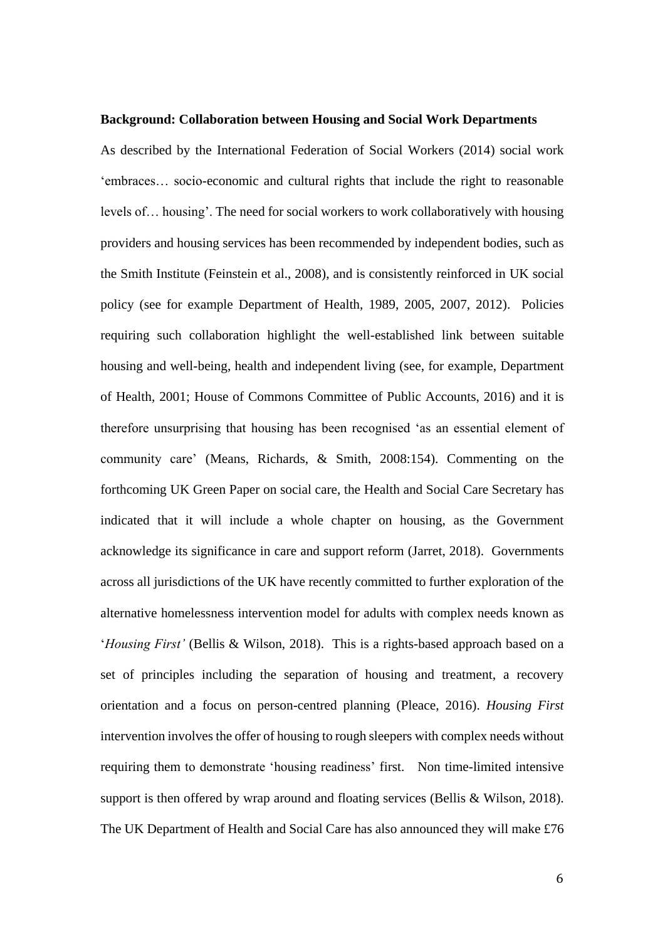#### **Background: Collaboration between Housing and Social Work Departments**

As described by the [International Federation of Social Workers \(2014\)](#page-20-4) social work 'embraces… socio-economic and cultural rights that include the right to reasonable levels of… housing'. The need for social workers to work collaboratively with housing providers and housing services has been recommended by independent bodies, such as the Smith Institute [\(Feinstein et al., 2008\)](#page-20-5), and is consistently reinforced in UK social policy (see for example [Department of Health, 1989,](#page-19-0) [2005,](#page-19-1) [2007,](#page-19-2) [2012\)](#page-19-3). Policies requiring such collaboration highlight the well-established link between suitable housing and well-being, health and independent living (see, for example, [Department](#page-19-4)  [of Health, 2001;](#page-19-4) [House of Commons Committee of Public Accounts, 2016\)](#page-20-6) and it is therefore unsurprising that housing has been recognised 'as an essential element of community care' [\(Means, Richards, & Smith, 2008:154\)](#page-21-4). Commenting on the forthcoming UK Green Paper on social care, the Health and Social Care Secretary has indicated that it will include a whole chapter on housing, as the Government acknowledge its significance in care and support reform [\(Jarret, 2018\)](#page-21-5). Governments across all jurisdictions of the UK have recently committed to further exploration of the alternative homelessness intervention model for adults with complex needs known as '*Housing First'* [\(Bellis & Wilson, 2018\)](#page-19-5). This is a rights-based approach based on a set of principles including the separation of housing and treatment, a recovery orientation and a focus on person-centred planning [\(Pleace, 2016\)](#page-22-2). *Housing First* intervention involves the offer of housing to rough sleepers with complex needs without requiring them to demonstrate 'housing readiness' first. Non time-limited intensive support is then offered by wrap around and floating services [\(Bellis & Wilson, 2018\)](#page-19-5). The UK Department of Health and Social Care has also announced they will make £76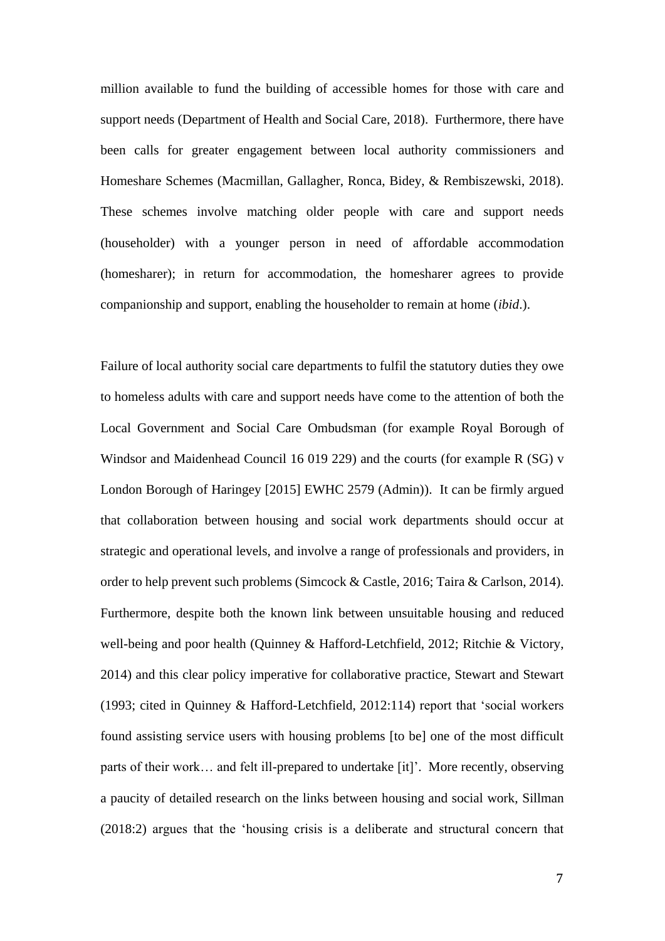million available to fund the building of accessible homes for those with care and support needs [\(Department of Health and Social Care, 2018\)](#page-20-7). Furthermore, there have been calls for greater engagement between local authority commissioners and Homeshare Schemes [\(Macmillan, Gallagher, Ronca, Bidey, & Rembiszewski, 2018\)](#page-21-6). These schemes involve matching older people with care and support needs (householder) with a younger person in need of affordable accommodation (homesharer); in return for accommodation, the homesharer agrees to provide companionship and support, enabling the householder to remain at home (*ibid*.).

Failure of local authority social care departments to fulfil the statutory duties they owe to homeless adults with care and support needs have come to the attention of both the Local Government and Social Care Ombudsman (for example Royal Borough of Windsor and Maidenhead Council 16 019 229) and the courts (for example R (SG) v London Borough of Haringey [2015] EWHC 2579 (Admin)). It can be firmly argued that collaboration between housing and social work departments should occur at strategic and operational levels, and involve a range of professionals and providers, in order to help prevent such problems [\(Simcock & Castle, 2016;](#page-22-3) [Taira & Carlson, 2014\)](#page-23-1). Furthermore, despite both the known link between unsuitable housing and reduced well-being and poor health [\(Quinney & Hafford-Letchfield, 2012;](#page-22-4) [Ritchie & Victory,](#page-22-5)  [2014\)](#page-22-5) and this clear policy imperative for collaborative practice, Stewart and Stewart [\(1993; cited in Quinney & Hafford-Letchfield, 2012:114\)](#page-22-4) report that 'social workers found assisting service users with housing problems [to be] one of the most difficult parts of their work… and felt ill-prepared to undertake [it]'. More recently, observing a paucity of detailed research on the links between housing and social work, [Sillman](#page-22-6)  [\(2018:2\)](#page-22-6) argues that the 'housing crisis is a deliberate and structural concern that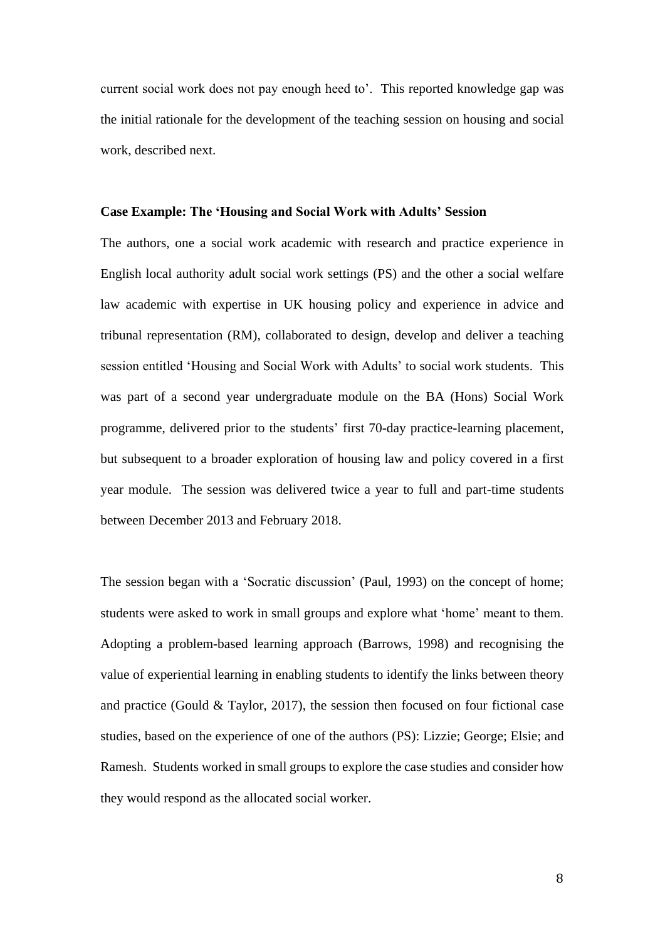current social work does not pay enough heed to'. This reported knowledge gap was the initial rationale for the development of the teaching session on housing and social work, described next.

#### **Case Example: The 'Housing and Social Work with Adults' Session**

The authors, one a social work academic with research and practice experience in English local authority adult social work settings (PS) and the other a social welfare law academic with expertise in UK housing policy and experience in advice and tribunal representation (RM), collaborated to design, develop and deliver a teaching session entitled 'Housing and Social Work with Adults' to social work students. This was part of a second year undergraduate module on the BA (Hons) Social Work programme, delivered prior to the students' first 70-day practice-learning placement, but subsequent to a broader exploration of housing law and policy covered in a first year module. The session was delivered twice a year to full and part-time students between December 2013 and February 2018.

The session began with a 'Socratic discussion' [\(Paul, 1993\)](#page-22-7) on the concept of home; students were asked to work in small groups and explore what 'home' meant to them. Adopting a problem-based learning approach [\(Barrows, 1998\)](#page-19-6) and recognising the value of experiential learning in enabling students to identify the links between theory and practice [\(Gould & Taylor, 2017\)](#page-20-8), the session then focused on four fictional case studies, based on the experience of one of the authors (PS): Lizzie; George; Elsie; and Ramesh. Students worked in small groups to explore the case studies and consider how they would respond as the allocated social worker.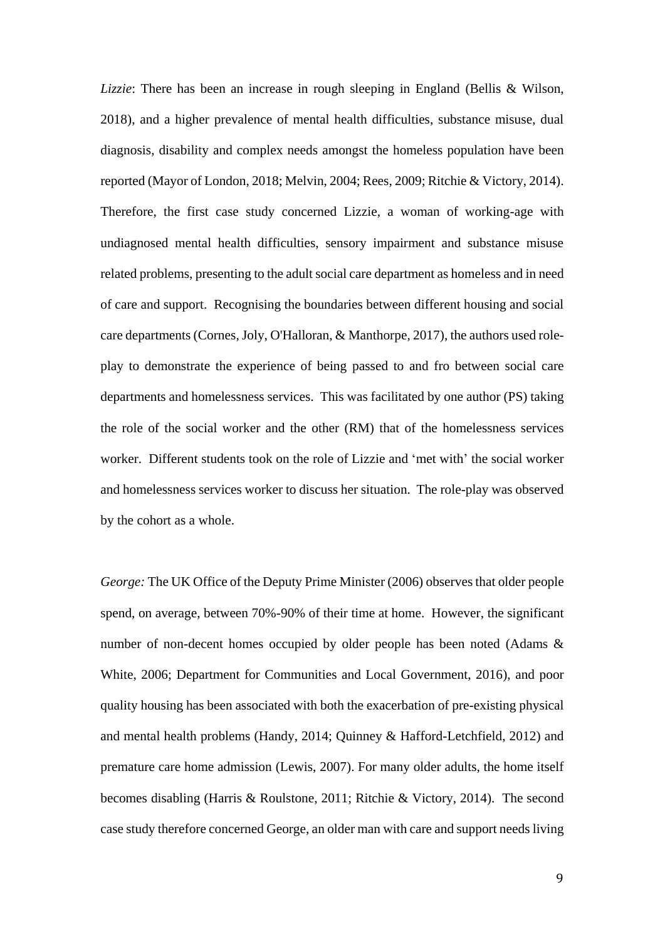*Lizzie*: There has been an increase in rough sleeping in England [\(Bellis & Wilson,](#page-19-5)  [2018\)](#page-19-5), and a higher prevalence of mental health difficulties, substance misuse, dual diagnosis, disability and complex needs amongst the homeless population have been reported [\(Mayor of London, 2018;](#page-21-7) [Melvin, 2004;](#page-21-8) [Rees, 2009;](#page-22-8) [Ritchie & Victory, 2014\)](#page-22-5). Therefore, the first case study concerned Lizzie, a woman of working-age with undiagnosed mental health difficulties, sensory impairment and substance misuse related problems, presenting to the adult social care department as homeless and in need of care and support. Recognising the boundaries between different housing and social care departments [\(Cornes, Joly, O'Halloran, & Manthorpe, 2017\)](#page-19-7), the authors used roleplay to demonstrate the experience of being passed to and fro between social care departments and homelessness services. This was facilitated by one author (PS) taking the role of the social worker and the other (RM) that of the homelessness services worker. Different students took on the role of Lizzie and 'met with' the social worker and homelessness services worker to discuss her situation. The role-play was observed by the cohort as a whole.

*George:* The UK [Office of the Deputy Prime Minister \(2006\)](#page-22-9) observes that older people spend, on average, between 70%-90% of their time at home. However, the significant number of non-decent homes occupied by older people has been noted [\(Adams &](#page-19-8)  [White, 2006;](#page-19-8) [Department for Communities and Local Government, 2016\)](#page-19-9), and poor quality housing has been associated with both the exacerbation of pre-existing physical and mental health problems [\(Handy, 2014;](#page-20-9) [Quinney & Hafford-Letchfield, 2012\)](#page-22-4) and premature care home admission [\(Lewis, 2007\)](#page-21-9). For many older adults, the home itself becomes disabling [\(Harris & Roulstone, 2011;](#page-20-10) [Ritchie & Victory, 2014\)](#page-22-5). The second case study therefore concerned George, an older man with care and support needs living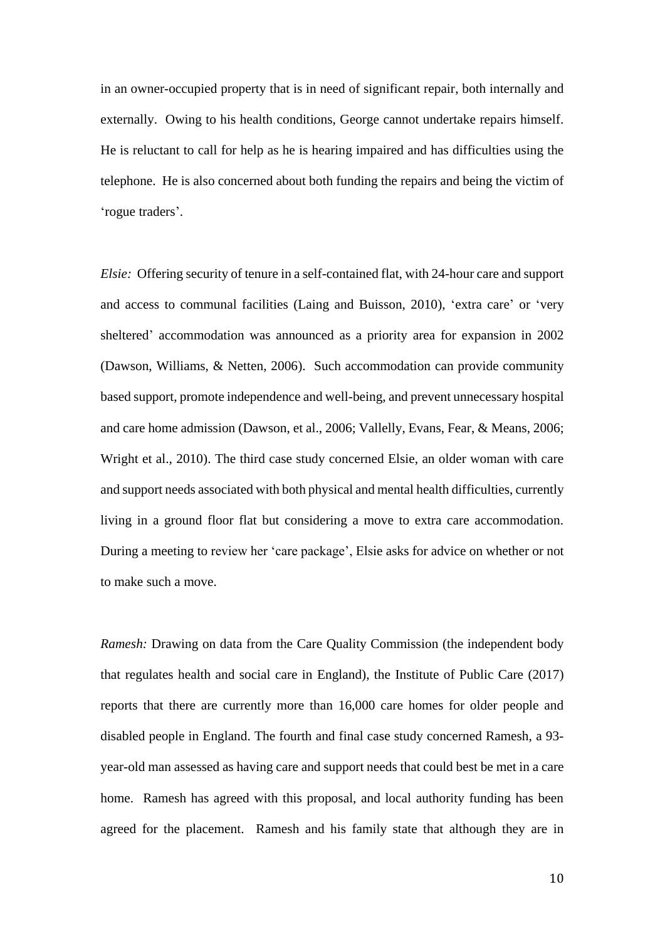in an owner-occupied property that is in need of significant repair, both internally and externally. Owing to his health conditions, George cannot undertake repairs himself. He is reluctant to call for help as he is hearing impaired and has difficulties using the telephone. He is also concerned about both funding the repairs and being the victim of 'rogue traders'.

*Elsie:* Offering security of tenure in a self-contained flat, with 24-hour care and support and access to communal facilities [\(Laing and Buisson, 2010\)](#page-21-10), 'extra care' or 'very sheltered' accommodation was announced as a priority area for expansion in 2002 [\(Dawson, Williams, & Netten, 2006\)](#page-19-10). Such accommodation can provide community based support, promote independence and well-being, and prevent unnecessary hospital and care home admission [\(Dawson, et al., 2006;](#page-19-10) [Vallelly, Evans, Fear, & Means, 2006;](#page-23-2) [Wright et al., 2010\)](#page-23-3). The third case study concerned Elsie, an older woman with care and support needs associated with both physical and mental health difficulties, currently living in a ground floor flat but considering a move to extra care accommodation. During a meeting to review her 'care package', Elsie asks for advice on whether or not to make such a move.

*Ramesh:* Drawing on data from the Care Quality Commission (the independent body that regulates health and social care in England), the [Institute of Public Care \(2017\)](#page-20-11) reports that there are currently more than 16,000 care homes for older people and disabled people in England. The fourth and final case study concerned Ramesh, a 93 year-old man assessed as having care and support needs that could best be met in a care home. Ramesh has agreed with this proposal, and local authority funding has been agreed for the placement. Ramesh and his family state that although they are in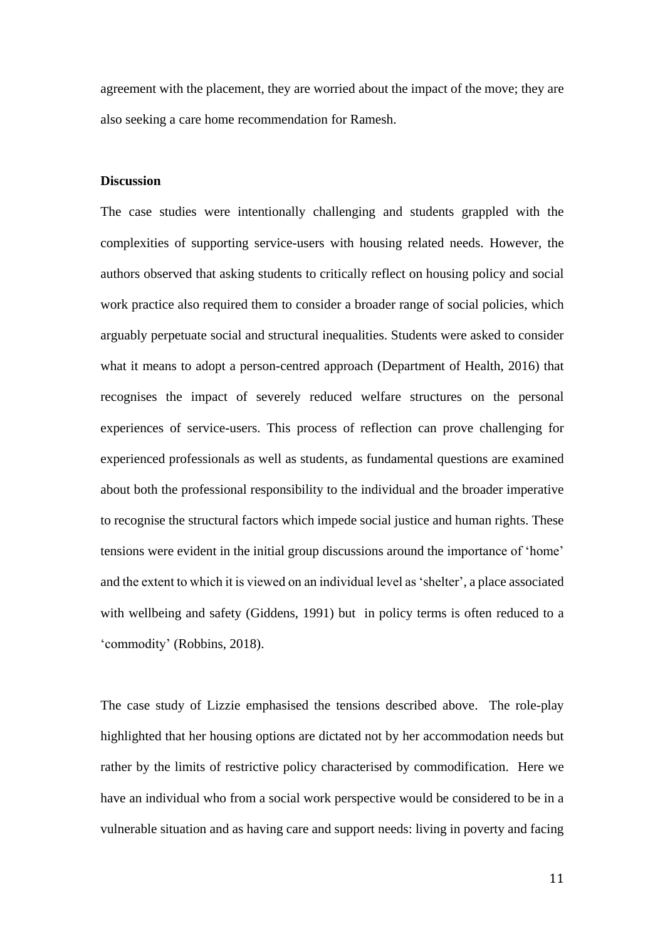agreement with the placement, they are worried about the impact of the move; they are also seeking a care home recommendation for Ramesh.

# **Discussion**

The case studies were intentionally challenging and students grappled with the complexities of supporting service-users with housing related needs. However, the authors observed that asking students to critically reflect on housing policy and social work practice also required them to consider a broader range of social policies, which arguably perpetuate social and structural inequalities. Students were asked to consider what it means to adopt a person-centred approach [\(Department of Health, 2016\)](#page-20-12) that recognises the impact of severely reduced welfare structures on the personal experiences of service-users. This process of reflection can prove challenging for experienced professionals as well as students, as fundamental questions are examined about both the professional responsibility to the individual and the broader imperative to recognise the structural factors which impede social justice and human rights. These tensions were evident in the initial group discussions around the importance of 'home' and the extent to which it is viewed on an individual level as 'shelter', a place associated with wellbeing and safety [\(Giddens, 1991\)](#page-20-13) but in policy terms is often reduced to a 'commodity' [\(Robbins, 2018\)](#page-22-10).

The case study of Lizzie emphasised the tensions described above. The role-play highlighted that her housing options are dictated not by her accommodation needs but rather by the limits of restrictive policy characterised by commodification. Here we have an individual who from a social work perspective would be considered to be in a vulnerable situation and as having care and support needs: living in poverty and facing

11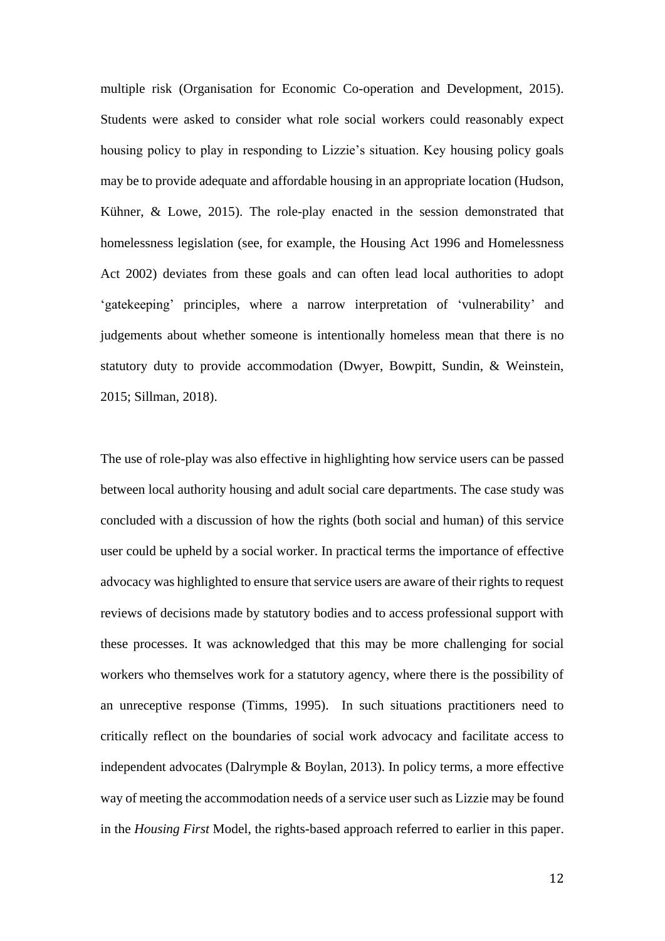multiple risk [\(Organisation for Economic Co-operation and Development, 2015\)](#page-22-11). Students were asked to consider what role social workers could reasonably expect housing policy to play in responding to Lizzie's situation. Key housing policy goals may be to provide adequate and affordable housing in an appropriate location [\(Hudson,](#page-20-14)  [Kühner, & Lowe, 2015\)](#page-20-14). The role-play enacted in the session demonstrated that homelessness legislation (see, for example, the Housing Act 1996 and Homelessness Act 2002) deviates from these goals and can often lead local authorities to adopt 'gatekeeping' principles, where a narrow interpretation of 'vulnerability' and judgements about whether someone is intentionally homeless mean that there is no statutory duty to provide accommodation [\(Dwyer, Bowpitt, Sundin, & Weinstein,](#page-20-15)  [2015;](#page-20-15) [Sillman, 2018\)](#page-22-6).

The use of role-play was also effective in highlighting how service users can be passed between local authority housing and adult social care departments. The case study was concluded with a discussion of how the rights (both social and human) of this service user could be upheld by a social worker. In practical terms the importance of effective advocacy was highlighted to ensure that service users are aware of their rights to request reviews of decisions made by statutory bodies and to access professional support with these processes. It was acknowledged that this may be more challenging for social workers who themselves work for a statutory agency, where there is the possibility of an unreceptive response [\(Timms, 1995\)](#page-23-4). In such situations practitioners need to critically reflect on the boundaries of social work advocacy and facilitate access to independent advocates [\(Dalrymple & Boylan, 2013\)](#page-19-11). In policy terms, a more effective way of meeting the accommodation needs of a service user such as Lizzie may be found in the *Housing First* Model, the rights-based approach referred to earlier in this paper.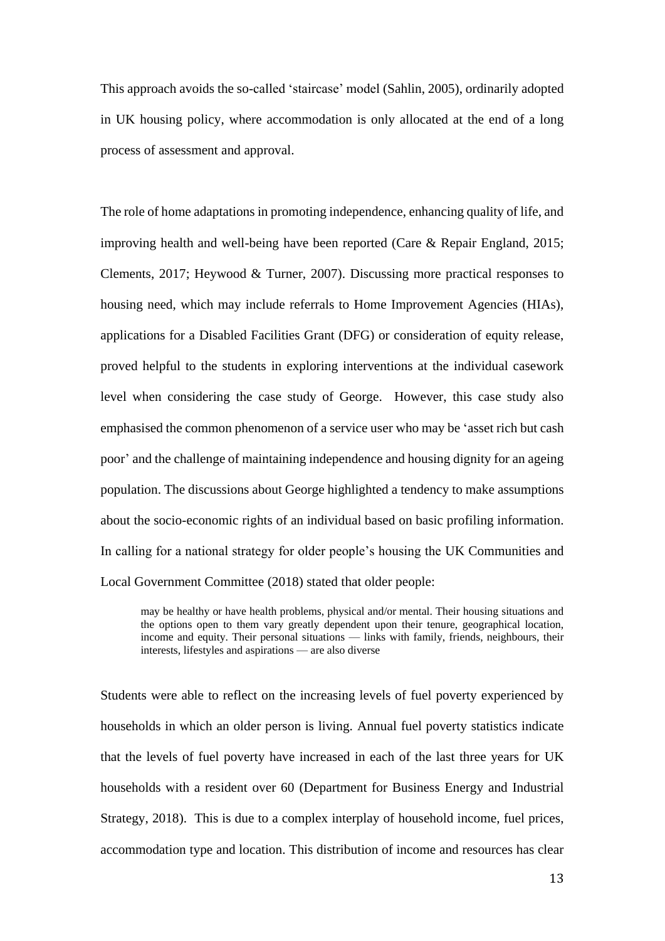This approach avoids the so-called 'staircase' model [\(Sahlin, 2005\)](#page-22-12), ordinarily adopted in UK housing policy, where accommodation is only allocated at the end of a long process of assessment and approval.

The role of home adaptations in promoting independence, enhancing quality of life, and improving health and well-being have been reported [\(Care & Repair England, 2015;](#page-19-12) [Clements, 2017;](#page-19-13) [Heywood & Turner, 2007\)](#page-20-16). Discussing more practical responses to housing need, which may include referrals to Home Improvement Agencies (HIAs), applications for a Disabled Facilities Grant (DFG) or consideration of equity release, proved helpful to the students in exploring interventions at the individual casework level when considering the case study of George. However, this case study also emphasised the common phenomenon of a service user who may be 'asset rich but cash poor' and the challenge of maintaining independence and housing dignity for an ageing population. The discussions about George highlighted a tendency to make assumptions about the socio-economic rights of an individual based on basic profiling information. In calling for a national strategy for older people's housing the UK [Communities and](#page-19-14)  [Local Government Committee \(2018\)](#page-19-14) stated that older people:

may be healthy or have health problems, physical and/or mental. Their housing situations and the options open to them vary greatly dependent upon their tenure, geographical location, income and equity. Their personal situations — links with family, friends, neighbours, their interests, lifestyles and aspirations — are also diverse

Students were able to reflect on the increasing levels of fuel poverty experienced by households in which an older person is living. Annual fuel poverty statistics indicate that the levels of fuel poverty have increased in each of the last three years for UK households with a resident over 60 [\(Department for Business Energy and Industrial](#page-19-15)  [Strategy, 2018\)](#page-19-15). This is due to a complex interplay of household income, fuel prices, accommodation type and location. This distribution of income and resources has clear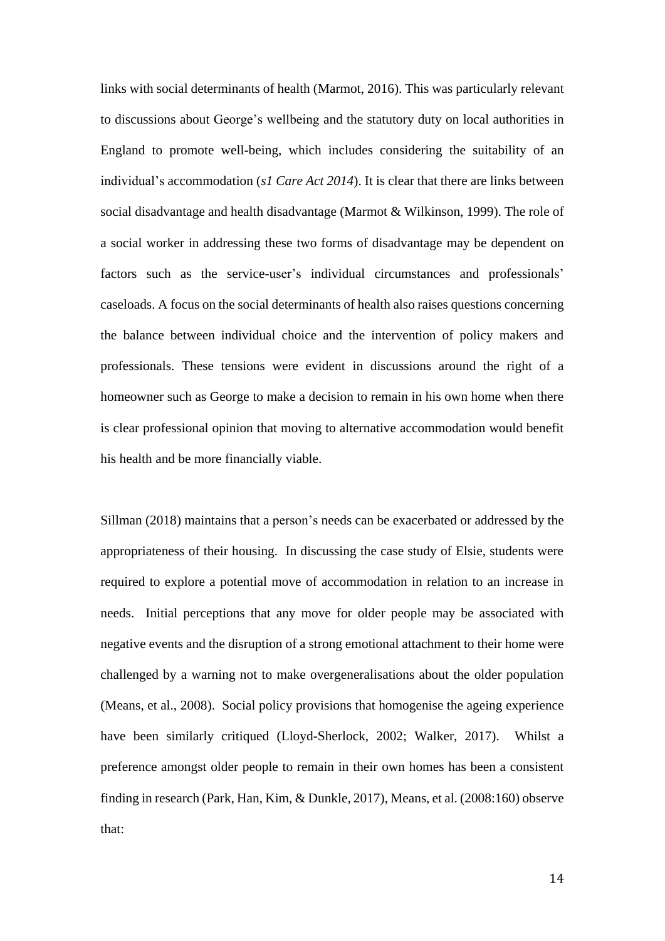links with social determinants of health [\(Marmot, 2016\)](#page-21-11). This was particularly relevant to discussions about George's wellbeing and the statutory duty on local authorities in England to promote well-being, which includes considering the suitability of an individual's accommodation (*s1 Care Act 2014*). It is clear that there are links between social disadvantage and health disadvantage [\(Marmot & Wilkinson, 1999\)](#page-21-12). The role of a social worker in addressing these two forms of disadvantage may be dependent on factors such as the service-user's individual circumstances and professionals' caseloads. A focus on the social determinants of health also raises questions concerning the balance between individual choice and the intervention of policy makers and professionals. These tensions were evident in discussions around the right of a homeowner such as George to make a decision to remain in his own home when there is clear professional opinion that moving to alternative accommodation would benefit his health and be more financially viable.

[Sillman \(2018\)](#page-22-6) maintains that a person's needs can be exacerbated or addressed by the appropriateness of their housing. In discussing the case study of Elsie, students were required to explore a potential move of accommodation in relation to an increase in needs. Initial perceptions that any move for older people may be associated with negative events and the disruption of a strong emotional attachment to their home were challenged by a warning not to make overgeneralisations about the older population [\(Means, et al., 2008\)](#page-21-4). Social policy provisions that homogenise the ageing experience have been similarly critiqued [\(Lloyd-Sherlock, 2002;](#page-21-13) [Walker, 2017\)](#page-23-5). Whilst a preference amongst older people to remain in their own homes has been a consistent finding in research [\(Park, Han, Kim, & Dunkle, 2017\)](#page-22-13), [Means, et al. \(2008:160\)](#page-21-4) observe that: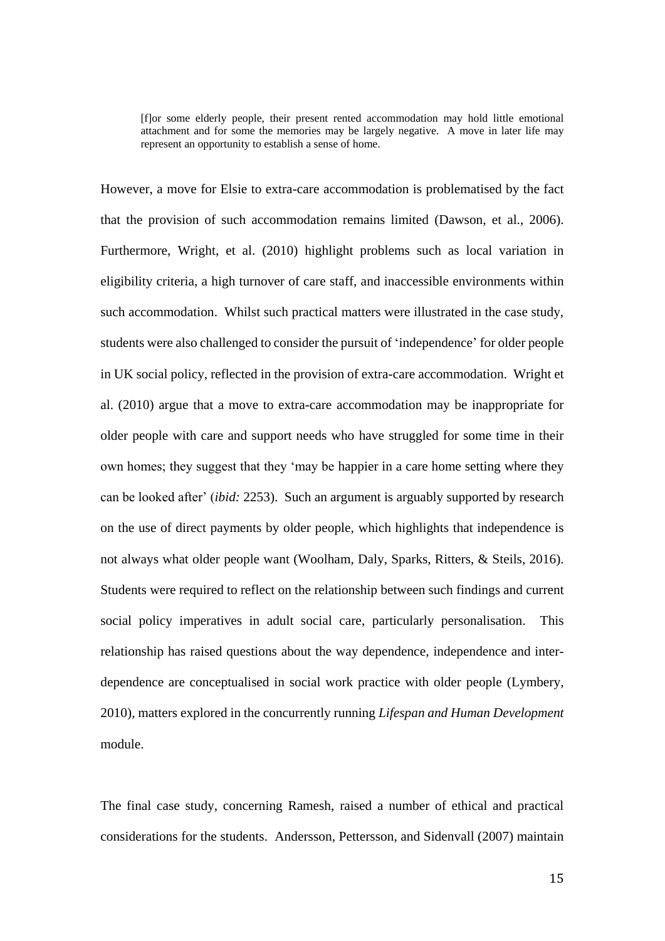[f]or some elderly people, their present rented accommodation may hold little emotional attachment and for some the memories may be largely negative. A move in later life may represent an opportunity to establish a sense of home.

However, a move for Elsie to extra-care accommodation is problematised by the fact that the provision of such accommodation remains limited [\(Dawson, et al., 2006\)](#page-19-10). Furthermore, [Wright, et al. \(2010\)](#page-23-3) highlight problems such as local variation in eligibility criteria, a high turnover of care staff, and inaccessible environments within such accommodation. Whilst such practical matters were illustrated in the case study, students were also challenged to consider the pursuit of 'independence' for older people in UK social policy, reflected in the provision of extra-care accommodation. Wright et al. (2010) argue that a move to extra-care accommodation may be inappropriate for older people with care and support needs who have struggled for some time in their own homes; they suggest that they 'may be happier in a care home setting where they can be looked after' (*ibid:* 2253). Such an argument is arguably supported by research on the use of direct payments by older people, which highlights that independence is not always what older people want [\(Woolham, Daly, Sparks, Ritters, & Steils, 2016\)](#page-23-6). Students were required to reflect on the relationship between such findings and current social policy imperatives in adult social care, particularly personalisation. This relationship has raised questions about the way dependence, independence and interdependence are conceptualised in social work practice with older people [\(Lymbery,](#page-21-14)  [2010\)](#page-21-14), matters explored in the concurrently running *Lifespan and Human Development*  module.

The final case study, concerning Ramesh, raised a number of ethical and practical considerations for the students. [Andersson, Pettersson, and Sidenvall \(2007\)](#page-19-16) maintain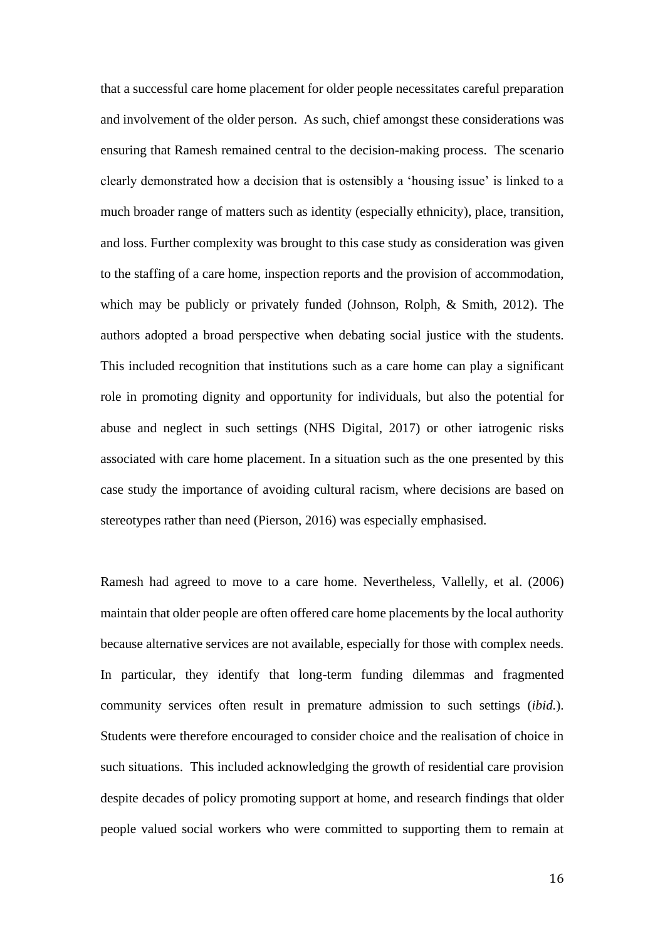that a successful care home placement for older people necessitates careful preparation and involvement of the older person. As such, chief amongst these considerations was ensuring that Ramesh remained central to the decision-making process. The scenario clearly demonstrated how a decision that is ostensibly a 'housing issue' is linked to a much broader range of matters such as identity (especially ethnicity), place, transition, and loss. Further complexity was brought to this case study as consideration was given to the staffing of a care home, inspection reports and the provision of accommodation, which may be publicly or privately funded [\(Johnson, Rolph, & Smith, 2012\)](#page-21-15). The authors adopted a broad perspective when debating social justice with the students. This included recognition that institutions such as a care home can play a significant role in promoting dignity and opportunity for individuals, but also the potential for abuse and neglect in such settings [\(NHS Digital, 2017\)](#page-22-14) or other iatrogenic risks associated with care home placement. In a situation such as the one presented by this case study the importance of avoiding cultural racism, where decisions are based on stereotypes rather than need [\(Pierson, 2016\)](#page-22-15) was especially emphasised.

Ramesh had agreed to move to a care home. Nevertheless, [Vallelly, et al. \(2006\)](#page-23-2) maintain that older people are often offered care home placements by the local authority because alternative services are not available, especially for those with complex needs. In particular, they identify that long-term funding dilemmas and fragmented community services often result in premature admission to such settings (*ibid.*). Students were therefore encouraged to consider choice and the realisation of choice in such situations. This included acknowledging the growth of residential care provision despite decades of policy promoting support at home, and research findings that older people valued social workers who were committed to supporting them to remain at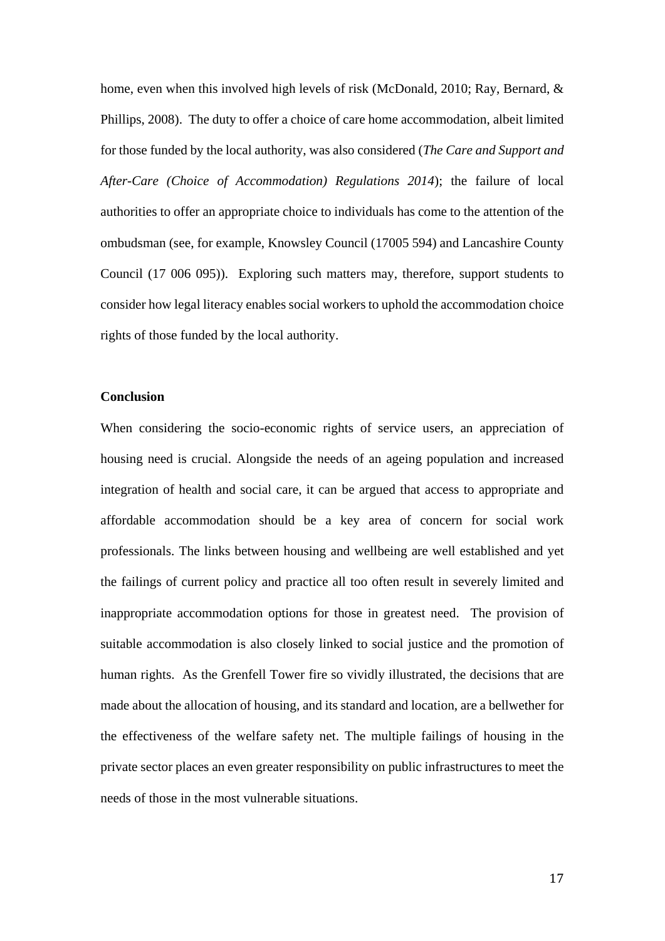home, even when this involved high levels of risk [\(McDonald, 2010;](#page-21-16) Ray, Bernard, & [Phillips, 2008\)](#page-22-16). The duty to offer a choice of care home accommodation, albeit limited for those funded by the local authority, was also considered (*The Care and Support and After-Care (Choice of Accommodation) Regulations 2014*); the failure of local authorities to offer an appropriate choice to individuals has come to the attention of the ombudsman (see, for example, Knowsley Council (17005 594) and Lancashire County Council (17 006 095)). Exploring such matters may, therefore, support students to consider how legal literacy enables social workers to uphold the accommodation choice rights of those funded by the local authority.

# **Conclusion**

When considering the socio-economic rights of service users, an appreciation of housing need is crucial. Alongside the needs of an ageing population and increased integration of health and social care, it can be argued that access to appropriate and affordable accommodation should be a key area of concern for social work professionals. The links between housing and wellbeing are well established and yet the failings of current policy and practice all too often result in severely limited and inappropriate accommodation options for those in greatest need. The provision of suitable accommodation is also closely linked to social justice and the promotion of human rights. As the Grenfell Tower fire so vividly illustrated, the decisions that are made about the allocation of housing, and its standard and location, are a bellwether for the effectiveness of the welfare safety net. The multiple failings of housing in the private sector places an even greater responsibility on public infrastructures to meet the needs of those in the most vulnerable situations.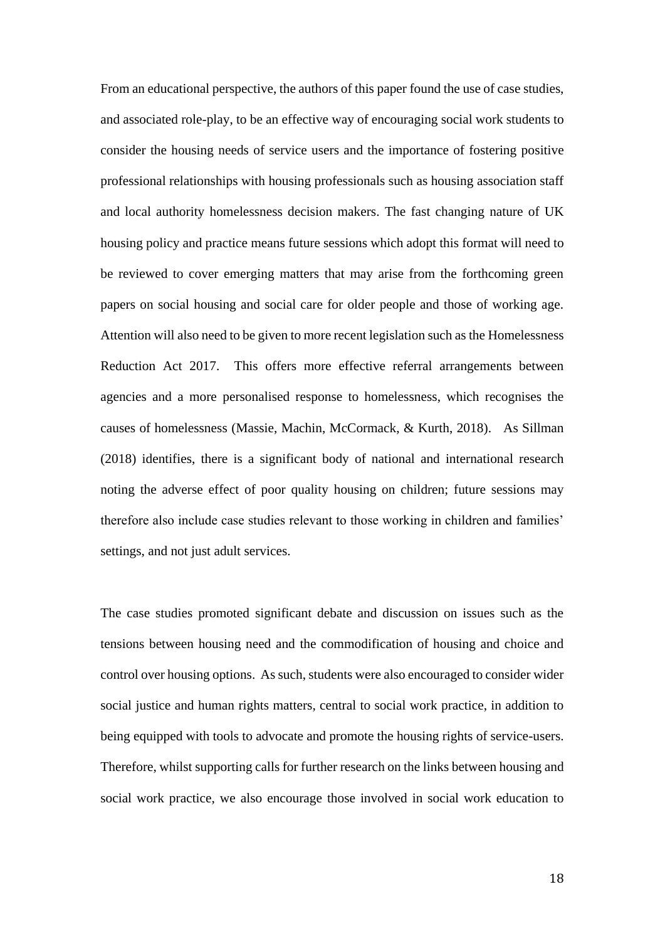From an educational perspective, the authors of this paper found the use of case studies, and associated role-play, to be an effective way of encouraging social work students to consider the housing needs of service users and the importance of fostering positive professional relationships with housing professionals such as housing association staff and local authority homelessness decision makers. The fast changing nature of UK housing policy and practice means future sessions which adopt this format will need to be reviewed to cover emerging matters that may arise from the forthcoming green papers on social housing and social care for older people and those of working age. Attention will also need to be given to more recent legislation such as the Homelessness Reduction Act 2017. This offers more effective referral arrangements between agencies and a more personalised response to homelessness, which recognises the causes of homelessness [\(Massie, Machin, McCormack, & Kurth, 2018\)](#page-21-17). As [Sillman](#page-22-6)  [\(2018\)](#page-22-6) identifies, there is a significant body of national and international research noting the adverse effect of poor quality housing on children; future sessions may therefore also include case studies relevant to those working in children and families' settings, and not just adult services.

The case studies promoted significant debate and discussion on issues such as the tensions between housing need and the commodification of housing and choice and control over housing options. As such, students were also encouraged to consider wider social justice and human rights matters, central to social work practice, in addition to being equipped with tools to advocate and promote the housing rights of service-users. Therefore, whilst supporting calls for further research on the links between housing and social work practice, we also encourage those involved in social work education to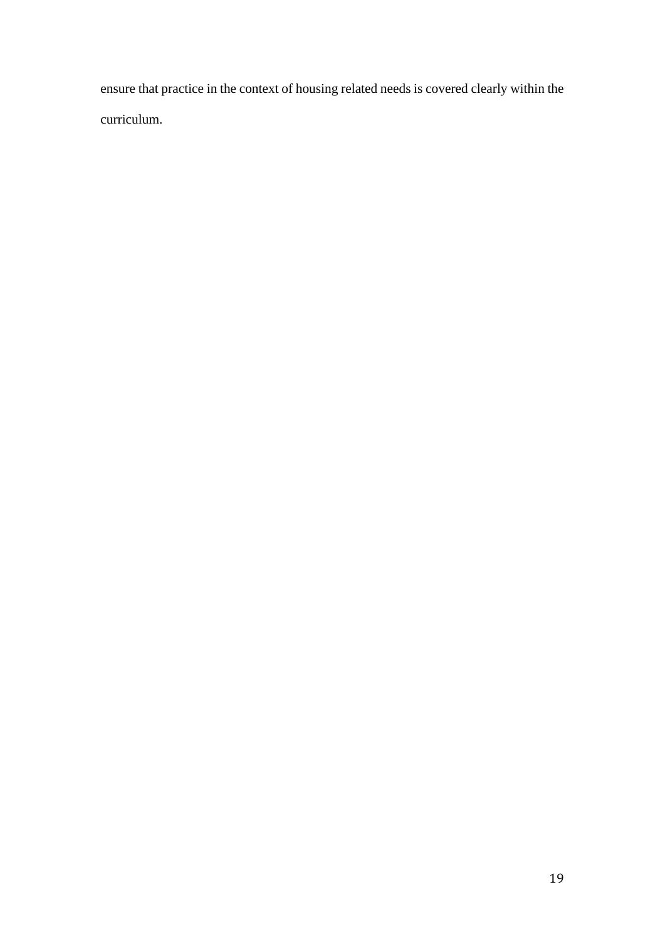ensure that practice in the context of housing related needs is covered clearly within the curriculum.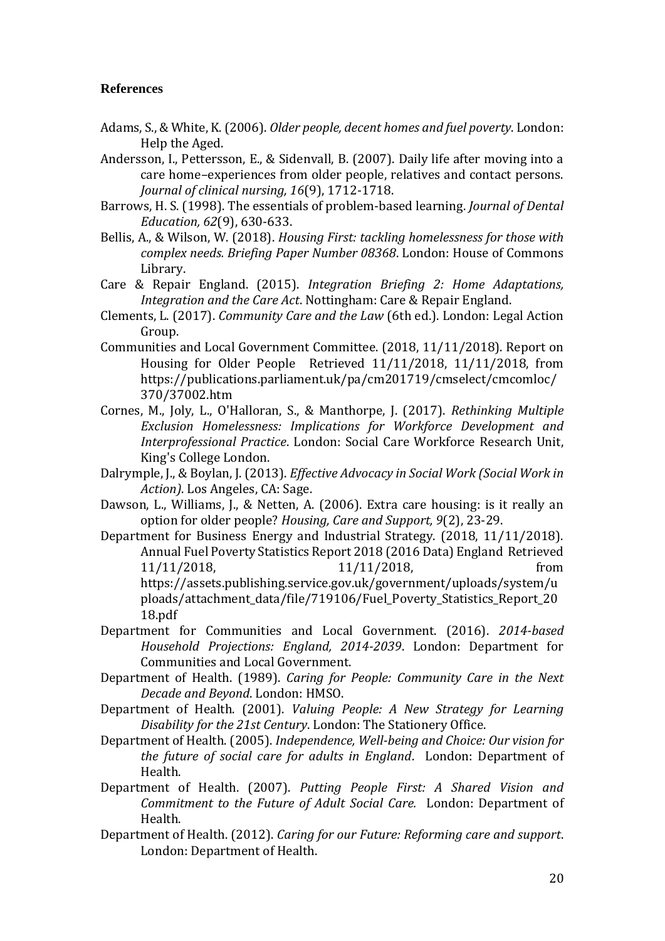# **References**

- <span id="page-19-8"></span>Adams, S., & White, K. (2006). *Older people, decent homes and fuel poverty*. London: Help the Aged.
- <span id="page-19-16"></span>Andersson, I., Pettersson, E., & Sidenvall, B. (2007). Daily life after moving into a care home–experiences from older people, relatives and contact persons. *Journal of clinical nursing, 16*(9), 1712-1718.
- <span id="page-19-6"></span>Barrows, H. S. (1998). The essentials of problem-based learning. *Journal of Dental Education, 62*(9), 630-633.
- <span id="page-19-5"></span>Bellis, A., & Wilson, W. (2018). *Housing First: tackling homelessness for those with complex needs. Briefing Paper Number 08368*. London: House of Commons Library.
- <span id="page-19-12"></span>Care & Repair England. (2015). *Integration Briefing 2: Home Adaptations, Integration and the Care Act*. Nottingham: Care & Repair England.
- <span id="page-19-13"></span>Clements, L. (2017). *Community Care and the Law* (6th ed.). London: Legal Action Group.
- <span id="page-19-14"></span>Communities and Local Government Committee. (2018, 11/11/2018). Report on Housing for Older People Retrieved 11/11/2018, 11/11/2018, from https://publications.parliament.uk/pa/cm201719/cmselect/cmcomloc/ 370/37002.htm
- <span id="page-19-7"></span>Cornes, M., Joly, L., O'Halloran, S., & Manthorpe, J. (2017). *Rethinking Multiple Exclusion Homelessness: Implications for Workforce Development and Interprofessional Practice*. London: Social Care Workforce Research Unit, King's College London.
- <span id="page-19-11"></span>Dalrymple, J., & Boylan, J. (2013). *Effective Advocacy in Social Work (Social Work in Action)*. Los Angeles, CA: Sage.
- <span id="page-19-10"></span>Dawson, L., Williams, J., & Netten, A. (2006). Extra care housing: is it really an option for older people? *Housing, Care and Support, 9*(2), 23-29.
- <span id="page-19-15"></span>Department for Business Energy and Industrial Strategy. (2018, 11/11/2018). Annual Fuel Poverty Statistics Report 2018 (2016 Data) England Retrieved 11/11/2018, 11/11/2018, https://assets.publishing.service.gov.uk/government/uploads/system/u ploads/attachment\_data/file/719106/Fuel\_Poverty\_Statistics\_Report\_20 18.pdf
- <span id="page-19-9"></span>Department for Communities and Local Government. (2016). *2014-based Household Projections: England, 2014-2039*. London: Department for Communities and Local Government.
- <span id="page-19-0"></span>Department of Health. (1989). *Caring for People: Community Care in the Next Decade and Beyond*. London: HMSO.
- <span id="page-19-4"></span>Department of Health. (2001). *Valuing People: A New Strategy for Learning Disability for the 21st Century*. London: The Stationery Office.
- <span id="page-19-1"></span>Department of Health. (2005). *Independence, Well-being and Choice: Our vision for the future of social care for adults in England*. London: Department of Health.
- <span id="page-19-2"></span>Department of Health. (2007). *Putting People First: A Shared Vision and Commitment to the Future of Adult Social Care.* London: Department of Health.
- <span id="page-19-3"></span>Department of Health. (2012). *Caring for our Future: Reforming care and support*. London: Department of Health.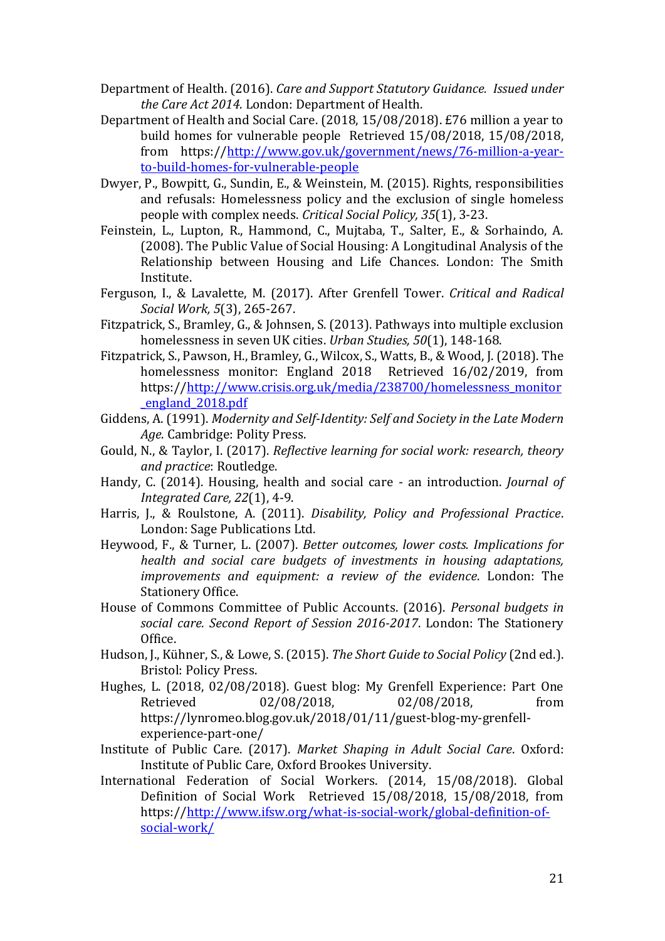- <span id="page-20-12"></span>Department of Health. (2016). *Care and Support Statutory Guidance. Issued under the Care Act 2014*. London: Department of Health.
- <span id="page-20-7"></span>Department of Health and Social Care. (2018, 15/08/2018). £76 million a year to build homes for vulnerable people Retrieved 15/08/2018, 15/08/2018, from https:/[/http://www.gov.uk/government/news/76-million-a-year](http://www.gov.uk/government/news/76-million-a-year-to-build-homes-for-vulnerable-people)[to-build-homes-for-vulnerable-people](http://www.gov.uk/government/news/76-million-a-year-to-build-homes-for-vulnerable-people)
- <span id="page-20-15"></span>Dwyer, P., Bowpitt, G., Sundin, E., & Weinstein, M. (2015). Rights, responsibilities and refusals: Homelessness policy and the exclusion of single homeless people with complex needs. *Critical Social Policy, 35*(1), 3-23.
- <span id="page-20-5"></span>Feinstein, L., Lupton, R., Hammond, C., Mujtaba, T., Salter, E., & Sorhaindo, A. (2008). The Public Value of Social Housing: A Longitudinal Analysis of the Relationship between Housing and Life Chances. London: The Smith Institute.
- <span id="page-20-0"></span>Ferguson, I., & Lavalette, M. (2017). After Grenfell Tower. *Critical and Radical Social Work, 5*(3), 265-267.
- <span id="page-20-2"></span>Fitzpatrick, S., Bramley, G., & Johnsen, S. (2013). Pathways into multiple exclusion homelessness in seven UK cities. *Urban Studies, 50*(1), 148-168.
- <span id="page-20-3"></span>Fitzpatrick, S., Pawson, H., Bramley, G., Wilcox, S., Watts, B., & Wood, J. (2018). The homelessness monitor: England 2018 Retrieved 16/02/2019, from https:/[/http://www.crisis.org.uk/media/238700/homelessness\\_monitor](http://www.crisis.org.uk/media/238700/homelessness_monitor_england_2018.pdf) [\\_england\\_2018.pdf](http://www.crisis.org.uk/media/238700/homelessness_monitor_england_2018.pdf)
- <span id="page-20-13"></span>Giddens, A. (1991). *Modernity and Self-Identity: Self and Society in the Late Modern Age*. Cambridge: Polity Press.
- <span id="page-20-8"></span>Gould, N., & Taylor, I. (2017). *Reflective learning for social work: research, theory and practice*: Routledge.
- <span id="page-20-9"></span>Handy, C. (2014). Housing, health and social care - an introduction. *Journal of Integrated Care, 22*(1), 4-9.
- <span id="page-20-10"></span>Harris, J., & Roulstone, A. (2011). *Disability, Policy and Professional Practice*. London: Sage Publications Ltd.
- <span id="page-20-16"></span>Heywood, F., & Turner, L. (2007). *Better outcomes, lower costs. Implications for health and social care budgets of investments in housing adaptations, improvements and equipment: a review of the evidence*. London: The Stationery Office.
- <span id="page-20-6"></span>House of Commons Committee of Public Accounts. (2016). *Personal budgets in social care. Second Report of Session 2016-2017*. London: The Stationery Office.
- <span id="page-20-14"></span>Hudson, J., Kühner, S., & Lowe, S. (2015). *The Short Guide to Social Policy* (2nd ed.). Bristol: Policy Press.
- <span id="page-20-1"></span>Hughes, L. (2018, 02/08/2018). Guest blog: My Grenfell Experience: Part One Retrieved 02/08/2018, 02/08/2018, from https://lynromeo.blog.gov.uk/2018/01/11/guest-blog-my-grenfellexperience-part-one/
- <span id="page-20-11"></span>Institute of Public Care. (2017). *Market Shaping in Adult Social Care*. Oxford: Institute of Public Care, Oxford Brookes University.
- <span id="page-20-4"></span>International Federation of Social Workers. (2014, 15/08/2018). Global Definition of Social Work Retrieved 15/08/2018, 15/08/2018, from https:/[/http://www.ifsw.org/what-is-social-work/global-definition-of](http://www.ifsw.org/what-is-social-work/global-definition-of-social-work/)[social-work/](http://www.ifsw.org/what-is-social-work/global-definition-of-social-work/)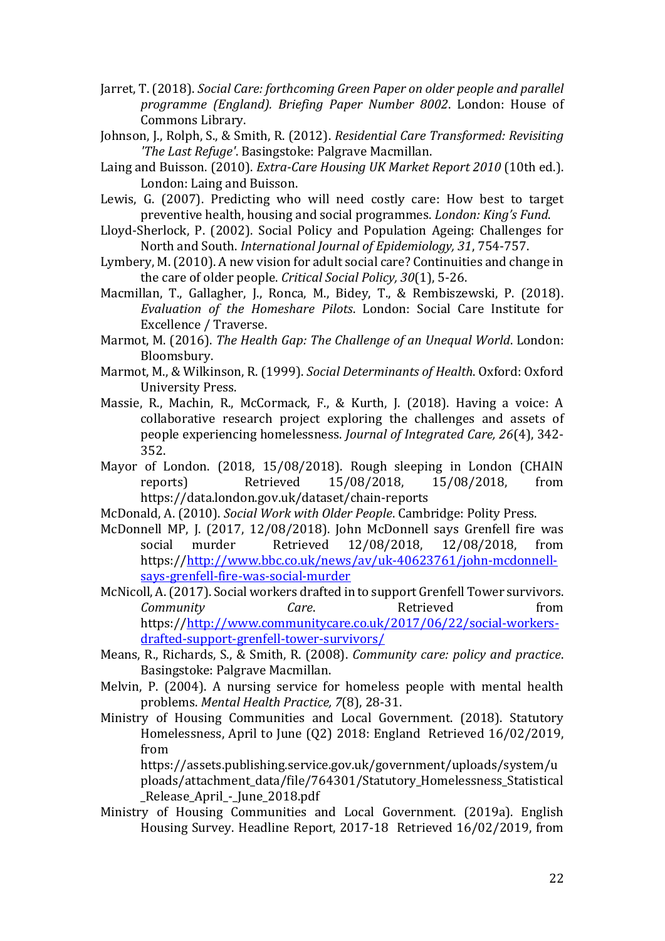- <span id="page-21-5"></span>Jarret, T. (2018). *Social Care: forthcoming Green Paper on older people and parallel programme (England). Briefing Paper Number 8002*. London: House of Commons Library.
- <span id="page-21-15"></span>Johnson, J., Rolph, S., & Smith, R. (2012). *Residential Care Transformed: Revisiting 'The Last Refuge'*. Basingstoke: Palgrave Macmillan.
- <span id="page-21-10"></span>Laing and Buisson. (2010). *Extra-Care Housing UK Market Report 2010* (10th ed.). London: Laing and Buisson.
- <span id="page-21-9"></span>Lewis, G. (2007). Predicting who will need costly care: How best to target preventive health, housing and social programmes. *London: King's Fund*.
- <span id="page-21-13"></span>Lloyd-Sherlock, P. (2002). Social Policy and Population Ageing: Challenges for North and South. *International Journal of Epidemiology, 31*, 754-757.
- <span id="page-21-14"></span>Lymbery, M. (2010). A new vision for adult social care? Continuities and change in the care of older people. *Critical Social Policy, 30*(1), 5-26.
- <span id="page-21-6"></span>Macmillan, T., Gallagher, J., Ronca, M., Bidey, T., & Rembiszewski, P. (2018). *Evaluation of the Homeshare Pilots*. London: Social Care Institute for Excellence / Traverse.
- <span id="page-21-11"></span>Marmot, M. (2016). *The Health Gap: The Challenge of an Unequal World*. London: Bloomsbury.
- <span id="page-21-12"></span>Marmot, M., & Wilkinson, R. (1999). *Social Determinants of Health*. Oxford: Oxford University Press.
- <span id="page-21-17"></span>Massie, R., Machin, R., McCormack, F., & Kurth, J. (2018). Having a voice: A collaborative research project exploring the challenges and assets of people experiencing homelessness. *Journal of Integrated Care, 26*(4), 342- 352.
- <span id="page-21-7"></span>Mayor of London. (2018, 15/08/2018). Rough sleeping in London (CHAIN reports) Retrieved 15/08/2018, 15/08/2018, from https://data.london.gov.uk/dataset/chain-reports
- <span id="page-21-16"></span>McDonald, A. (2010). *Social Work with Older People*. Cambridge: Polity Press.
- <span id="page-21-0"></span>McDonnell MP, J. (2017, 12/08/2018). John McDonnell says Grenfell fire was social murder Retrieved 12/08/2018, 12/08/2018, from https:/[/http://www.bbc.co.uk/news/av/uk-40623761/john-mcdonnell](http://www.bbc.co.uk/news/av/uk-40623761/john-mcdonnell-says-grenfell-fire-was-social-murder)[says-grenfell-fire-was-social-murder](http://www.bbc.co.uk/news/av/uk-40623761/john-mcdonnell-says-grenfell-fire-was-social-murder)
- <span id="page-21-1"></span>McNicoll, A. (2017). Social workers drafted in to support Grenfell Tower survivors. *Community Care*. Retrieved from https:/[/http://www.communitycare.co.uk/2017/06/22/social-workers](http://www.communitycare.co.uk/2017/06/22/social-workers-drafted-support-grenfell-tower-survivors/)[drafted-support-grenfell-tower-survivors/](http://www.communitycare.co.uk/2017/06/22/social-workers-drafted-support-grenfell-tower-survivors/)
- <span id="page-21-4"></span>Means, R., Richards, S., & Smith, R. (2008). *Community care: policy and practice*. Basingstoke: Palgrave Macmillan.
- <span id="page-21-8"></span>Melvin, P. (2004). A nursing service for homeless people with mental health problems. *Mental Health Practice, 7*(8), 28-31.
- <span id="page-21-3"></span>Ministry of Housing Communities and Local Government. (2018). Statutory Homelessness, April to June (Q2) 2018: England Retrieved 16/02/2019, from

https://assets.publishing.service.gov.uk/government/uploads/system/u ploads/attachment\_data/file/764301/Statutory\_Homelessness\_Statistical \_Release\_April\_-\_June\_2018.pdf

<span id="page-21-2"></span>Ministry of Housing Communities and Local Government. (2019a). English Housing Survey. Headline Report, 2017-18 Retrieved 16/02/2019, from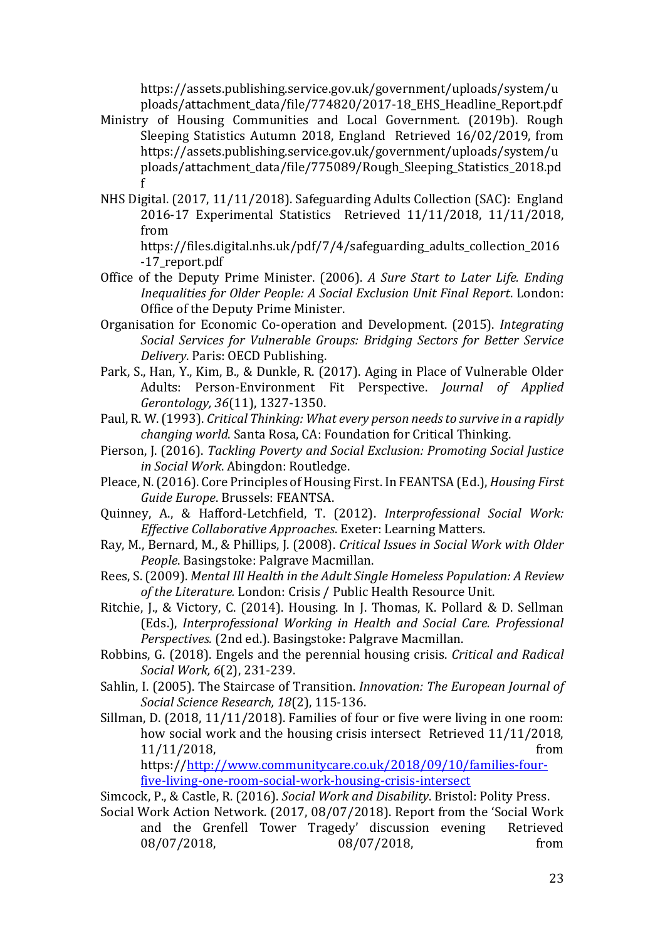https://assets.publishing.service.gov.uk/government/uploads/system/u ploads/attachment\_data/file/774820/2017-18\_EHS\_Headline\_Report.pdf

- <span id="page-22-1"></span>Ministry of Housing Communities and Local Government. (2019b). Rough Sleeping Statistics Autumn 2018, England Retrieved 16/02/2019, from https://assets.publishing.service.gov.uk/government/uploads/system/u ploads/attachment\_data/file/775089/Rough\_Sleeping\_Statistics\_2018.pd f
- <span id="page-22-14"></span>NHS Digital. (2017, 11/11/2018). Safeguarding Adults Collection (SAC): England 2016-17 Experimental Statistics Retrieved 11/11/2018, 11/11/2018, from

https://files.digital.nhs.uk/pdf/7/4/safeguarding\_adults\_collection\_2016 -17\_report.pdf

- <span id="page-22-9"></span>Office of the Deputy Prime Minister. (2006). *A Sure Start to Later Life. Ending Inequalities for Older People: A Social Exclusion Unit Final Report*. London: Office of the Deputy Prime Minister.
- <span id="page-22-11"></span>Organisation for Economic Co-operation and Development. (2015). *Integrating Social Services for Vulnerable Groups: Bridging Sectors for Better Service Delivery*. Paris: OECD Publishing.
- <span id="page-22-13"></span>Park, S., Han, Y., Kim, B., & Dunkle, R. (2017). Aging in Place of Vulnerable Older Adults: Person-Environment Fit Perspective. *Journal of Applied Gerontology, 36*(11), 1327-1350.
- <span id="page-22-7"></span>Paul, R. W. (1993). *Critical Thinking: What every person needs to survive in a rapidly changing world*. Santa Rosa, CA: Foundation for Critical Thinking.
- <span id="page-22-15"></span>Pierson, J. (2016). *Tackling Poverty and Social Exclusion: Promoting Social Justice in Social Work*. Abingdon: Routledge.
- <span id="page-22-2"></span>Pleace, N. (2016). Core Principles of Housing First. In FEANTSA (Ed.), *Housing First Guide Europe*. Brussels: FEANTSA.
- <span id="page-22-4"></span>Quinney, A., & Hafford-Letchfield, T. (2012). *Interprofessional Social Work: Effective Collaborative Approaches*. Exeter: Learning Matters.
- <span id="page-22-16"></span>Ray, M., Bernard, M., & Phillips, J. (2008). *Critical Issues in Social Work with Older People*. Basingstoke: Palgrave Macmillan.
- <span id="page-22-8"></span>Rees, S. (2009). *Mental Ill Health in the Adult Single Homeless Population: A Review of the Literature.* London: Crisis / Public Health Resource Unit.
- <span id="page-22-5"></span>Ritchie, J., & Victory, C. (2014). Housing. In J. Thomas, K. Pollard & D. Sellman (Eds.), *Interprofessional Working in Health and Social Care. Professional Perspectives.* (2nd ed.). Basingstoke: Palgrave Macmillan.
- <span id="page-22-10"></span>Robbins, G. (2018). Engels and the perennial housing crisis. *Critical and Radical Social Work, 6*(2), 231-239.
- <span id="page-22-12"></span>Sahlin, I. (2005). The Staircase of Transition. *Innovation: The European Journal of Social Science Research, 18*(2), 115-136.
- <span id="page-22-6"></span>Sillman, D. (2018, 11/11/2018). Families of four or five were living in one room: how social work and the housing crisis intersect Retrieved 11/11/2018, 11/11/2018, from

https:/[/http://www.communitycare.co.uk/2018/09/10/families-four](http://www.communitycare.co.uk/2018/09/10/families-four-five-living-one-room-social-work-housing-crisis-intersect)[five-living-one-room-social-work-housing-crisis-intersect](http://www.communitycare.co.uk/2018/09/10/families-four-five-living-one-room-social-work-housing-crisis-intersect)

<span id="page-22-3"></span>Simcock, P., & Castle, R. (2016). *Social Work and Disability*. Bristol: Polity Press.

<span id="page-22-0"></span>Social Work Action Network. (2017, 08/07/2018). Report from the 'Social Work and the Grenfell Tower Tragedy' discussion evening Retrieved 08/07/2018, 08/07/2018, from